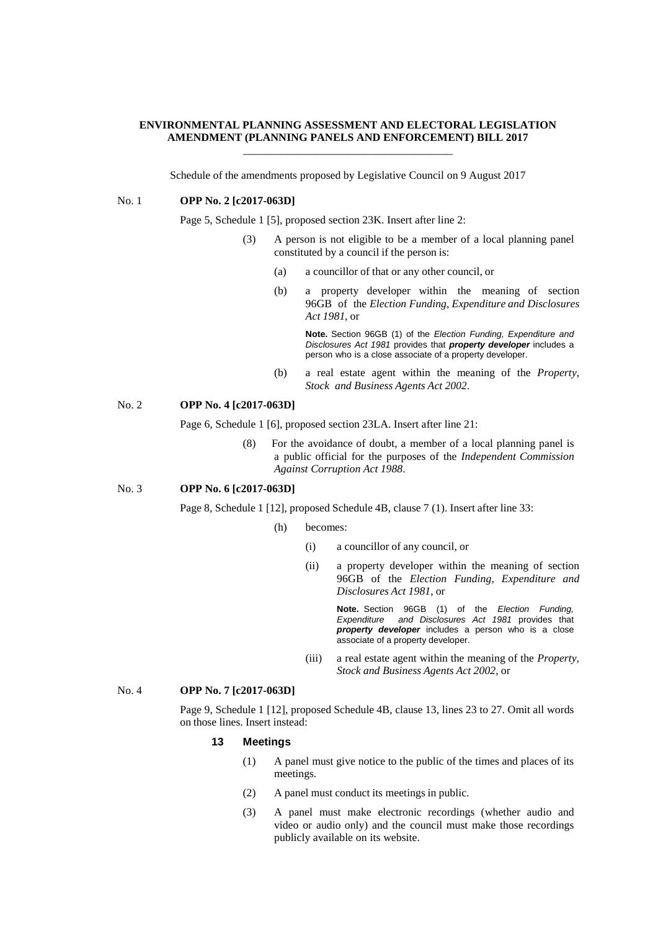#### **ENVIRONMENTAL PLANNING ASSESSMENT AND ELECTORAL LEGISLATION AMENDMENT (PLANNING PANELS AND ENFORCEMENT) BILL 2017** \_\_\_\_\_\_\_\_\_\_\_\_\_\_\_\_\_\_\_\_\_\_\_\_\_\_\_\_\_\_\_\_\_\_\_\_\_\_

Schedule of the amendments proposed by Legislative Council on 9 August 2017

#### No. 1 **OPP No. 2 [c2017-063D]**

Page 5, Schedule 1 [5], proposed section 23K. Insert after line 2:

- (3) A person is not eligible to be a member of a local planning panel constituted by a council if the person is:
	- (a) a councillor of that or any other council, or
	- (b) a property developer within the meaning of section 96GB of the *Election Funding, Expenditure and Disclosures Act 1981*, or

**Note.** Section 96GB (1) of the *Election Funding, Expenditure and Disclosures Act 1981* provides that *property developer* includes a person who is a close associate of a property developer.

(b) a real estate agent within the meaning of the *Property, Stock and Business Agents Act 2002*.

## No. 2 **OPP No. 4 [c2017-063D]**

Page 6, Schedule 1 [6], proposed section 23LA. Insert after line 21:

(8) For the avoidance of doubt, a member of a local planning panel is a public official for the purposes of the *Independent Commission Against Corruption Act 1988*.

### No. 3 **OPP No. 6 [c2017-063D]**

Page 8, Schedule 1 [12], proposed Schedule 4B, clause 7 (1). Insert after line 33:

- (h) becomes:
	- (i) a councillor of any council, or
	- (ii) a property developer within the meaning of section 96GB of the *Election Funding, Expenditure and Disclosures Act 1981*, or

**Note.** Section 96GB (1) of the *Election Funding, Expenditure and Disclosures Act 1981* provides that *property developer* includes a person who is a close associate of a property developer.

(iii) a real estate agent within the meaning of the *Property, Stock and Business Agents Act 2002*, or

#### No. 4 **OPP No. 7 [c2017-063D]**

Page 9, Schedule 1 [12], proposed Schedule 4B, clause 13, lines 23 to 27. Omit all words on those lines. Insert instead:

#### **13 Meetings**

- (1) A panel must give notice to the public of the times and places of its meetings.
- (2) A panel must conduct its meetings in public.
- (3) A panel must make electronic recordings (whether audio and video or audio only) and the council must make those recordings publicly available on its website.